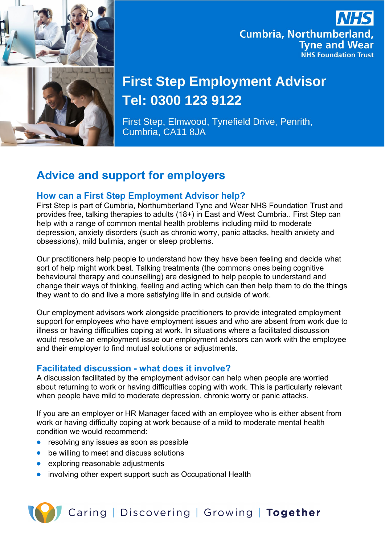

## **Cumbria, Northumberland, Tyne and Wear NHS Foundation Trust**

# **First Step Employment Advisor** Tel: 0300 123 9122

First Step, Elmwood, Tynefield Drive, Penrith, Cumbria, CA11 8JA

### **Advice and support for employers**

#### **How can a First Step Employment Advisor help?**

First Step is part of Cumbria, Northumberland Tyne and Wear NHS Foundation Trust and provides free, talking therapies to adults (18+) in East and West Cumbria.. First Step can help with a range of common mental health problems including mild to moderate depression, anxiety disorders (such as chronic worry, panic attacks, health anxiety and obsessions), mild bulimia, anger or sleep problems.

Our practitioners help people to understand how they have been feeling and decide what sort of help might work best. Talking treatments (the commons ones being cognitive behavioural therapy and counselling) are designed to help people to understand and change their ways of thinking, feeling and acting which can then help them to do the things they want to do and live a more satisfying life in and outside of work.

Our employment advisors work alongside practitioners to provide integrated employment support for employees who have employment issues and who are absent from work due to illness or having difficulties coping at work. In situations where a facilitated discussion would resolve an employment issue our employment advisors can work with the employee and their employer to find mutual solutions or adjustments.

#### **Facilitated discussion - what does it involve?**

A discussion facilitated by the employment advisor can help when people are worried about returning to work or having difficulties coping with work. This is particularly relevant when people have mild to moderate depression, chronic worry or panic attacks.

If you are an employer or HR Manager faced with an employee who is either absent from work or having difficulty coping at work because of a mild to moderate mental health condition we would recommend:

- resolving any issues as soon as possible
- be willing to meet and discuss solutions
- exploring reasonable adjustments
- involving other expert support such as Occupational Health